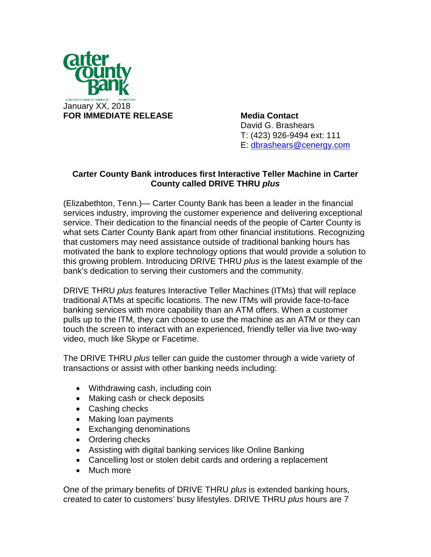

David G. Brashears T: (423) 926-9494 ext: 111 E: [dbrashears@cenergy.com](mailto:dbrashears@cenergy.com)

## **Carter County Bank introduces first Interactive Teller Machine in Carter County called DRIVE THRU** *plus*

(Elizabethton, Tenn.)— Carter County Bank has been a leader in the financial services industry, improving the customer experience and delivering exceptional service. Their dedication to the financial needs of the people of Carter County is what sets Carter County Bank apart from other financial institutions. Recognizing that customers may need assistance outside of traditional banking hours has motivated the bank to explore technology options that would provide a solution to this growing problem. Introducing DRIVE THRU *plus* is the latest example of the bank's dedication to serving their customers and the community.

DRIVE THRU *plus* features Interactive Teller Machines (ITMs) that will replace traditional ATMs at specific locations. The new ITMs will provide face-to-face banking services with more capability than an ATM offers. When a customer pulls up to the ITM, they can choose to use the machine as an ATM or they can touch the screen to interact with an experienced, friendly teller via live two-way video, much like Skype or Facetime.

The DRIVE THRU *plus* teller can guide the customer through a wide variety of transactions or assist with other banking needs including:

- Withdrawing cash, including coin
- Making cash or check deposits
- Cashing checks
- Making loan payments
- Exchanging denominations
- Ordering checks
- Assisting with digital banking services like Online Banking
- Cancelling lost or stolen debit cards and ordering a replacement
- Much more

One of the primary benefits of DRIVE THRU *plus* is extended banking hours, created to cater to customers' busy lifestyles. DRIVE THRU *plus* hours are 7